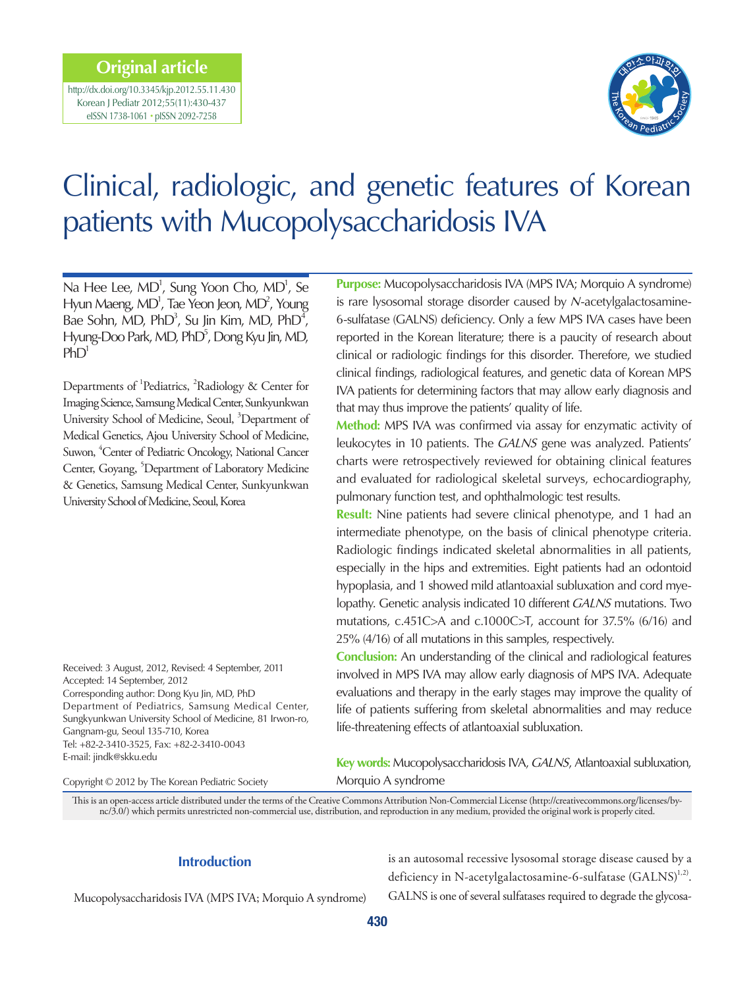# **Original article**

http://dx.doi.org/10.3345/kjp.2012.55.11.430 Korean J Pediatr 2012;55(11):430-437 eISSN 1738-1061 • pISSN 2092-7258



# Clinical, radiologic, and genetic features of Korean patients with Mucopolysaccharidosis IVA

Na Hee Lee,  $MD<sup>1</sup>$ , Sung Yoon Cho,  $MD<sup>1</sup>$ , Se Hyun Maeng, MD<sup>1</sup>, Tae Yeon Jeon, MD<sup>2</sup>, Young Bae Sohn, MD,  $PhD<sup>3</sup>$ , Su Jin Kim, MD,  $PhD<sup>4</sup>$ , Hyung-Doo Park, MD, PhD<sup>5</sup>, Dong Kyu Jin, MD,  $PhD<sup>1</sup>$ 

Departments of <sup>1</sup>Pediatrics, <sup>2</sup>Radiology & Center for Imaging Science, Samsung Medical Center, Sunkyunkwan University School of Medicine, Seoul, <sup>3</sup>Department of Medical Genetics, Ajou University School of Medicine, Suwon, <sup>4</sup> Center of Pediatric Oncology, National Cancer Center, Goyang, <sup>5</sup>Department of Laboratory Medicine & Genetics, Samsung Medical Center, Sunkyunkwan University School of Medicine, Seoul, Korea

Received: 3 August, 2012, Revised: 4 September, 2011 Accepted: 14 September, 2012 Corresponding author: Dong Kyu Jin, MD, PhD Department of Pediatrics, Samsung Medical Center, Sungkyunkwan University School of Medicine, 81 Irwon-ro, Gangnam-gu, Seoul 135-710, Korea Tel: +82-2-3410-3525, Fax: +82-2-3410-0043 E-mail: jindk@skku.edu

Copyright © 2012 by The Korean Pediatric Society

**Purpose:** Mucopolysaccharidosis IVA (MPS IVA; Morquio A syndrome) is rare lysosomal storage disorder caused by N-acetylgalactosamine-6-sulfatase (GALNS) deficiency. Only a few MPS IVA cases have been reported in the Korean literature; there is a paucity of research about clinical or radiologic findings for this disorder. Therefore, we studied clinical findings, radiological features, and genetic data of Korean MPS IVA patients for determining factors that may allow early diagnosis and that may thus improve the patients' quality of life.

**Method:** MPS IVA was confirmed via assay for enzymatic activity of leukocytes in 10 patients. The GALNS gene was analyzed. Patients' charts were retrospectively reviewed for obtaining clinical features and evaluated for radiological skeletal surveys, echocardiography, pulmonary function test, and ophthalmologic test results.

**Result:** Nine patients had severe clinical phenotype, and 1 had an intermediate phenotype, on the basis of clinical phenotype criteria. Radiologic findings indicated skeletal abnormalities in all patients, especially in the hips and extremities. Eight patients had an odontoid hypoplasia, and 1 showed mild atlantoaxial subluxation and cord myelopathy. Genetic analysis indicated 10 different GALNS mutations. Two mutations, c.451C>A and c.1000C>T, account for 37.5% (6/16) and 25% (4/16) of all mutations in this samples, respectively.

**Conclusion:** An understanding of the clinical and radiological features involved in MPS IVA may allow early diagnosis of MPS IVA. Adequate evaluations and therapy in the early stages may improve the quality of life of patients suffering from skeletal abnormalities and may reduce life-threatening effects of atlantoaxial subluxation.

**Key words:** Mucopolysaccharidosis IVA, GALNS, Atlantoaxial subluxation, Morquio A syndrome

This is an open-access article distributed under the terms of the Creative Commons Attribution Non-Commercial License (http://creativecommons.org/licenses/bync/3.0/) which permits unrestricted non-commercial use, distribution, and reproduction in any medium, provided the original work is properly cited.

## **Introduction**

Mucopolysaccharidosis IVA (MPS IVA; Morquio A syndrome)

is an autosomal recessive lysosomal storage disease caused by a deficiency in N-acetylgalactosamine-6-sulfatase (GALNS)<sup>1,2)</sup>. GALNS is one of several sulfatases required to degrade the glycosa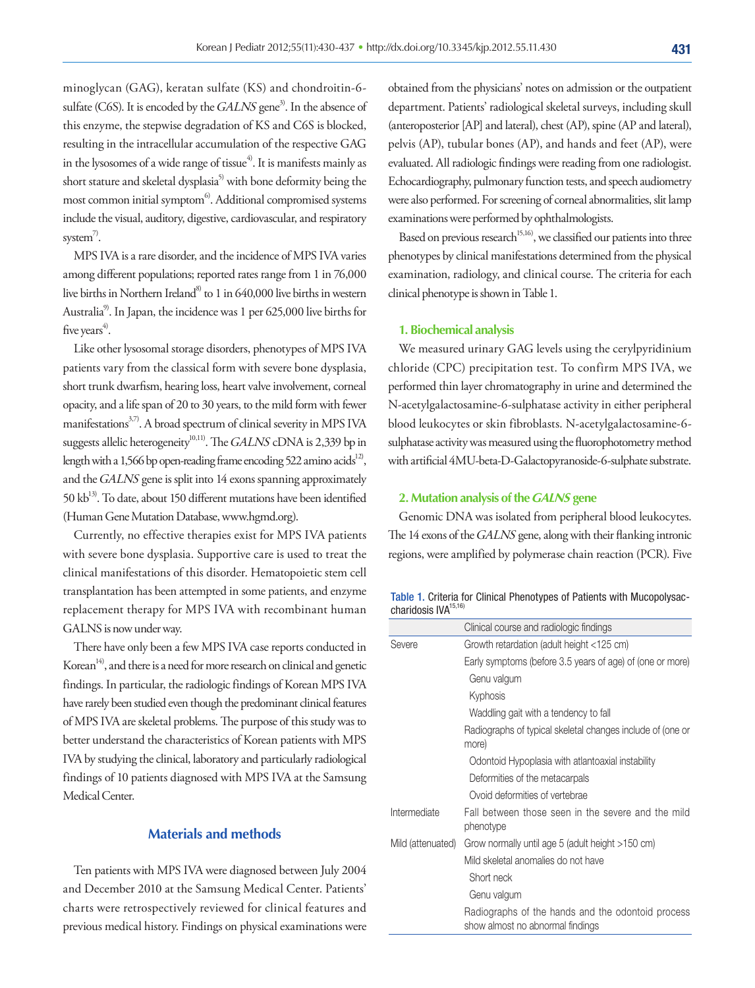minoglycan (GAG), keratan sulfate (KS) and chondroitin-6 sulfate (C6S). It is encoded by the  $GALNS$  gene<sup>3)</sup>. In the absence of this enzyme, the stepwise degradation of KS and C6S is blocked, resulting in the intracellular accumulation of the respective GAG in the lysosomes of a wide range of tissue<sup>4)</sup>. It is manifests mainly as short stature and skeletal dysplasia<sup>5)</sup> with bone deformity being the most common initial symptom<sup>6</sup>. Additional compromised systems include the visual, auditory, digestive, cardiovascular, and respiratory system $\overset{7}{\cdot}$ .

MPS IVA is a rare disorder, and the incidence of MPS IVA varies among different populations; reported rates range from 1 in 76,000 live births in Northern Ireland<sup>8)</sup> to 1 in 640,000 live births in western Australia<sup>9)</sup>. In Japan, the incidence was 1 per 625,000 live births for five years<sup>4)</sup>.

Like other lysosomal storage disorders, phenotypes of MPS IVA patients vary from the classical form with severe bone dysplasia, short trunk dwarfism, hearing loss, heart valve involvement, corneal opacity, and a life span of 20 to 30 years, to the mild form with fewer manifestations<sup>3,7)</sup>. A broad spectrum of clinical severity in MPS IVA suggests allelic heterogeneity<sup>10,11)</sup>. The GALNS cDNA is 2,339 bp in length with a 1,566 bp open-reading frame encoding 522 amino acids<sup>12</sup>, and the GALNS gene is split into 14 exons spanning approximately 50 kb<sup>13)</sup>. To date, about 150 different mutations have been identified (Human Gene Mutation Database, www.hgmd.org).

Currently, no effective therapies exist for MPS IVA patients with severe bone dysplasia. Supportive care is used to treat the clinical manifestations of this disorder. Hematopoietic stem cell transplantation has been attempted in some patients, and enzyme replacement therapy for MPS IVA with recombinant human GALNS is now under way.

There have only been a few MPS IVA case reports conducted in Korean<sup>14)</sup>, and there is a need for more research on clinical and genetic findings. In particular, the radiologic findings of Korean MPS IVA have rarely been studied even though the predominant clinical features of MPS IVA are skeletal problems. The purpose of this study was to better understand the characteristics of Korean patients with MPS IVA by studying the clinical, laboratory and particularly radiological findings of 10 patients diagnosed with MPS IVA at the Samsung Medical Center.

# **Materials and methods**

Ten patients with MPS IVA were diagnosed between July 2004 and December 2010 at the Samsung Medical Center. Patients' charts were retrospectively reviewed for clinical features and previous medical history. Findings on physical examinations were obtained from the physicians' notes on admission or the outpatient department. Patients' radiological skeletal surveys, including skull (anteroposterior [AP] and lateral), chest (AP), spine (AP and lateral), pelvis (AP), tubular bones (AP), and hands and feet (AP), were evaluated. All radiologic findings were reading from one radiologist. Echocardiography, pulmonary function tests, and speech audiometry were also performed. For screening of corneal abnormalities, slit lamp examinations were performed by ophthalmologists.

Based on previous research<sup>15,16)</sup>, we classified our patients into three phenotypes by clinical manifestations determined from the physical examination, radiology, and clinical course. The criteria for each clinical phenotype is shown in Table 1.

#### **1. Biochemical analysis**

We measured urinary GAG levels using the cerylpyridinium chloride (CPC) precipitation test. To confirm MPS IVA, we performed thin layer chromatography in urine and determined the N-acetylgalactosamine-6-sulphatase activity in either peripheral blood leukocytes or skin fibroblasts. N-acetylgalactosamine-6 sulphatase activity was measured using the fluorophotometry method with artificial 4MU-beta-D-Galactopyranoside-6-sulphate substrate.

#### **2. Mutation analysis of the GALNS gene**

Genomic DNA was isolated from peripheral blood leukocytes. The 14 exons of the GALNS gene, along with their flanking intronic regions, were amplified by polymerase chain reaction (PCR). Five

Table 1. Criteria for Clinical Phenotypes of Patients with Mucopolysaccharidosis IVA<sup>15,16</sup>

|                   | Clinical course and radiologic findings                                               |
|-------------------|---------------------------------------------------------------------------------------|
| Severe            | Growth retardation (adult height <125 cm)                                             |
|                   | Early symptoms (before 3.5 years of age) of (one or more)                             |
|                   | Genu valgum                                                                           |
|                   | Kyphosis                                                                              |
|                   | Waddling gait with a tendency to fall                                                 |
|                   | Radiographs of typical skeletal changes include of (one or<br>more)                   |
|                   | Odontoid Hypoplasia with atlantoaxial instability                                     |
|                   | Deformities of the metacarpals                                                        |
|                   | Ovoid deformities of vertebrae                                                        |
| Intermediate      | Fall between those seen in the severe and the mild<br>phenotype                       |
| Mild (attenuated) | Grow normally until age 5 (adult height >150 cm)                                      |
|                   | Mild skeletal anomalies do not have                                                   |
|                   | Short neck                                                                            |
|                   | Genu valgum                                                                           |
|                   | Radiographs of the hands and the odontoid process<br>show almost no abnormal findings |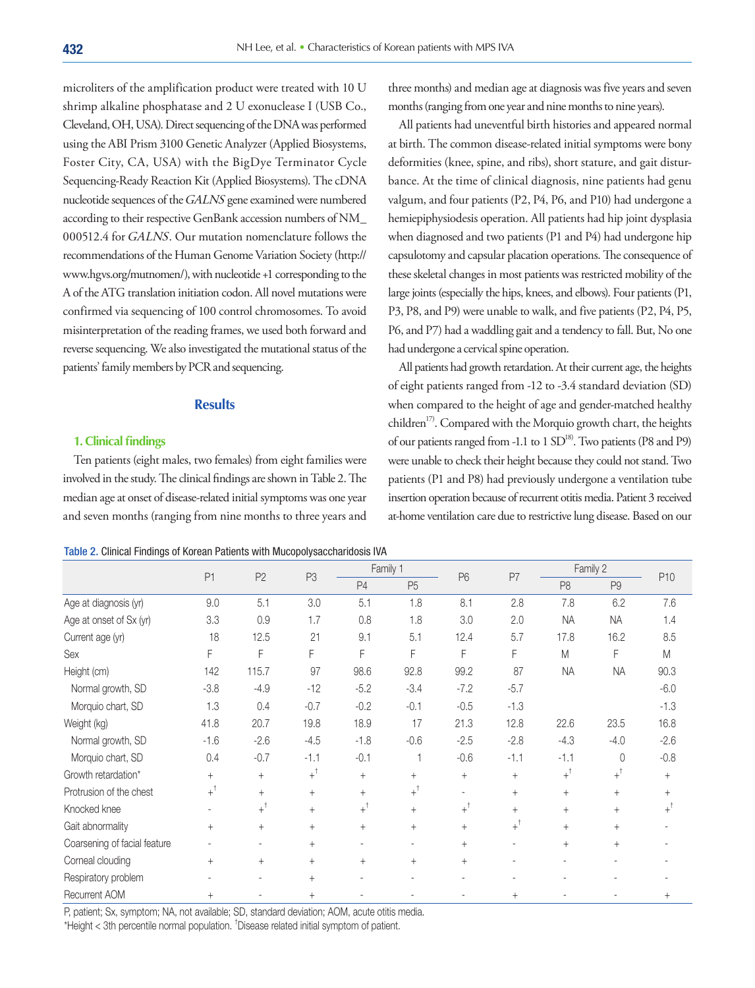microliters of the amplification product were treated with 10 U shrimp alkaline phosphatase and 2 U exonuclease I (USB Co., Cleveland, OH, USA). Direct sequencing of the DNA was performed using the ABI Prism 3100 Genetic Analyzer (Applied Biosystems, Foster City, CA, USA) with the BigDye Terminator Cycle Sequencing-Ready Reaction Kit (Applied Biosystems). The cDNA nucleotide sequences of the GALNS gene examined were numbered according to their respective GenBank accession numbers of NM\_ 000512.4 for GALNS. Our mutation nomenclature follows the recommendations of the Human Genome Variation Society (http:// www.hgvs.org/mutnomen/), with nucleotide +1 corresponding to the A of the ATG translation initiation codon. All novel mutations were confirmed via sequencing of 100 control chromosomes. To avoid misinterpretation of the reading frames, we used both forward and reverse sequencing. We also investigated the mutational status of the patients' family members by PCR and sequencing.

#### **Results**

#### **1. Clinical findings**

Ten patients (eight males, two females) from eight families were involved in the study. The clinical findings are shown in Table 2. The median age at onset of disease-related initial symptoms was one year and seven months (ranging from nine months to three years and

three months) and median age at diagnosis was five years and seven months (ranging from one year and nine months to nine years).

All patients had uneventful birth histories and appeared normal at birth. The common disease-related initial symptoms were bony deformities (knee, spine, and ribs), short stature, and gait disturbance. At the time of clinical diagnosis, nine patients had genu valgum, and four patients (P2, P4, P6, and P10) had undergone a hemiepiphysiodesis operation. All patients had hip joint dysplasia when diagnosed and two patients (P1 and P4) had undergone hip capsulotomy and capsular placation operations. The consequence of these skeletal changes in most patients was restricted mobility of the large joints (especially the hips, knees, and elbows). Four patients (P1, P3, P8, and P9) were unable to walk, and five patients (P2, P4, P5, P6, and P7) had a waddling gait and a tendency to fall. But, No one had undergone a cervical spine operation.

All patients had growth retardation. At their current age, the heights of eight patients ranged from -12 to -3.4 standard deviation (SD) when compared to the height of age and gender-matched healthy children<sup>17)</sup>. Compared with the Morquio growth chart, the heights of our patients ranged from -1.1 to 1 SD<sup>18)</sup>. Two patients (P8 and P9) were unable to check their height because they could not stand. Two patients (P1 and P8) had previously undergone a ventilation tube insertion operation because of recurrent otitis media. Patient 3 received at-home ventilation care due to restrictive lung disease. Based on our

| Table 2. Clinical Findings of Korean Patients with Mucopolysaccharidosis IVA |  |  |
|------------------------------------------------------------------------------|--|--|
|                                                                              |  |  |

|                              | P <sub>1</sub>   | P <sub>2</sub>   | P3               | Family 1         |                  | P <sub>6</sub>   | P7               | Family 2         |                |                  |
|------------------------------|------------------|------------------|------------------|------------------|------------------|------------------|------------------|------------------|----------------|------------------|
|                              |                  |                  |                  | P4               | P <sub>5</sub>   |                  |                  | P <sub>8</sub>   | P <sub>9</sub> | P <sub>10</sub>  |
| Age at diagnosis (yr)        | 9.0              | 5.1              | 3.0              | 5.1              | 1.8              | 8.1              | 2.8              | 7.8              | 6.2            | 7.6              |
| Age at onset of Sx (yr)      | 3.3              | 0.9              | 1.7              | 0.8              | 1.8              | 3.0              | 2.0              | <b>NA</b>        | <b>NA</b>      | 1.4              |
| Current age (yr)             | 18               | 12.5             | 21               | 9.1              | 5.1              | 12.4             | 5.7              | 17.8             | 16.2           | 8.5              |
| Sex                          | F                | F                | F                | F                | F                | F                | F                | M                | F              | M                |
| Height (cm)                  | 142              | 115.7            | 97               | 98.6             | 92.8             | 99.2             | 87               | <b>NA</b>        | <b>NA</b>      | 90.3             |
| Normal growth, SD            | $-3.8$           | $-4.9$           | $-12$            | $-5.2$           | $-3.4$           | $-7.2$           | $-5.7$           |                  |                | $-6.0$           |
| Morquio chart, SD            | 1.3              | 0.4              | $-0.7$           | $-0.2$           | $-0.1$           | $-0.5$           | $-1.3$           |                  |                | $-1.3$           |
| Weight (kg)                  | 41.8             | 20.7             | 19.8             | 18.9             | 17               | 21.3             | 12.8             | 22.6             | 23.5           | 16.8             |
| Normal growth, SD            | $-1.6$           | $-2.6$           | $-4.5$           | $-1.8$           | $-0.6$           | $-2.5$           | $-2.8$           | $-4.3$           | $-4.0$         | $-2.6$           |
| Morquio chart, SD            | 0.4              | $-0.7$           | $-1.1$           | $-0.1$           |                  | $-0.6$           | $-1.1$           | $-1.1$           | $\mathbf{0}$   | $-0.8$           |
| Growth retardation*          | $+$              | $+$              | $+$ <sup>†</sup> | $+$              | $^{+}$           | $+$              | $+$              | $+$ <sup>†</sup> | $+^\dagger$    | $^{+}$           |
| Protrusion of the chest      | $+$ <sup>†</sup> | $^{+}$           | $+$              | $^{+}$           | $+$ <sup>†</sup> |                  | $+$              | $+$              | $^{+}$         | $^{+}$           |
| Knocked knee                 |                  | $+$ <sup>†</sup> | $+$              | $+$ <sup>†</sup> | $+$              | $+$ <sup>†</sup> | $+$              | $+$              | $^{+}$         | $+$ <sup>†</sup> |
| Gait abnormality             | $^{+}$           | $+$              | $+$              | $^{+}$           | $^{+}$           | $^{+}$           | $+$ <sup>†</sup> | $+$              | $^{+}$         |                  |
| Coarsening of facial feature |                  |                  | $^{+}$           |                  |                  | $^{+}$           |                  | $^{+}$           | $^{+}$         |                  |
| Corneal clouding             | $+$              | $+$              | $+$              | $^{+}$           | $^{+}$           | $^{+}$           |                  |                  |                |                  |
| Respiratory problem          |                  |                  | $+$              |                  |                  |                  |                  |                  |                |                  |
| Recurrent AOM                | $^{+}$           |                  | $^{+}$           |                  |                  |                  | $^{+}$           |                  |                |                  |

P, patient; Sx, symptom; NA, not available; SD, standard deviation; AOM, acute otitis media.

\*Height < 3th percentile normal population. † Disease related initial symptom of patient.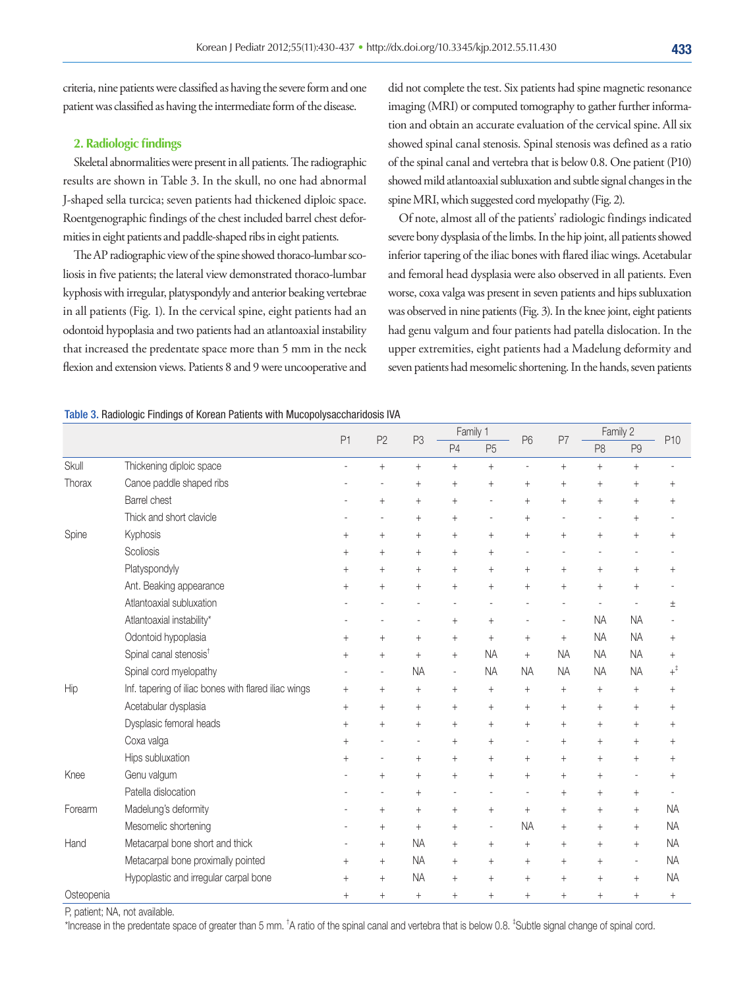criteria, nine patients were classified as having the severe form and one patient was classified as having the intermediate form of the disease.

#### **2. Radiologic findings**

Skeletal abnormalities were present in all patients. The radiographic results are shown in Table 3. In the skull, no one had abnormal J-shaped sella turcica; seven patients had thickened diploic space. Roentgenographic findings of the chest included barrel chest deformities in eight patients and paddle-shaped ribs in eight patients.

The AP radiographic view of the spine showed thoraco-lumbar scoliosis in five patients; the lateral view demonstrated thoraco-lumbar kyphosis with irregular, platyspondyly and anterior beaking vertebrae in all patients (Fig. 1). In the cervical spine, eight patients had an odontoid hypoplasia and two patients had an atlantoaxial instability that increased the predentate space more than 5 mm in the neck flexion and extension views. Patients 8 and 9 were uncooperative and did not complete the test. Six patients had spine magnetic resonance imaging (MRI) or computed tomography to gather further information and obtain an accurate evaluation of the cervical spine. All six showed spinal canal stenosis. Spinal stenosis was defined as a ratio of the spinal canal and vertebra that is below 0.8. One patient (P10) showed mild atlantoaxial subluxation and subtle signal changes in the spine MRI, which suggested cord myelopathy (Fig. 2).

Of note, almost all of the patients' radiologic findings indicated severe bony dysplasia of the limbs. In the hip joint, all patients showed inferior tapering of the iliac bones with flared iliac wings. Acetabular and femoral head dysplasia were also observed in all patients. Even worse, coxa valga was present in seven patients and hips subluxation was observed in nine patients (Fig. 3). In the knee joint, eight patients had genu valgum and four patients had patella dislocation. In the upper extremities, eight patients had a Madelung deformity and seven patients had mesomelic shortening. In the hands, seven patients

#### Table 3. Radiologic Findings of Korean Patients with Mucopolysaccharidosis IVA

|            |                                                      |         | P <sub>2</sub>                   | P <sub>3</sub> | Family 1       |                | P <sub>6</sub> | P7        | Family 2                         |                |                |
|------------|------------------------------------------------------|---------|----------------------------------|----------------|----------------|----------------|----------------|-----------|----------------------------------|----------------|----------------|
|            |                                                      | P1      |                                  |                | P4             | P <sub>5</sub> |                |           | P <sub>8</sub>                   | P <sub>9</sub> | P10            |
| Skull      | Thickening diploic space                             |         | $\begin{array}{c} + \end{array}$ | $^{+}$         | $^{+}$         | $^{+}$         | $\overline{a}$ | $^{+}$    | $\begin{array}{c} + \end{array}$ | $+$            |                |
| Thorax     | Canoe paddle shaped ribs                             |         |                                  | $^{+}$         | $\ddot{}$      | $^{+}$         | $\ddot{}$      | $^{+}$    | $^{+}$                           | $^{+}$         | $^{+}$         |
|            | Barrel chest                                         |         | $^{+}$                           | $^{+}$         | $^{+}$         |                | $^{+}$         | $^{+}$    | $\begin{array}{c} + \end{array}$ | $^{+}$         | $^{+}$         |
|            | Thick and short clavicle                             |         | $\overline{a}$                   | $^{+}$         | $^{+}$         | $\overline{a}$ | $^{+}$         |           | $\overline{a}$                   | $^{+}$         |                |
| Spine      | Kyphosis                                             | $+$     | $\! +$                           | $^{+}$         | $^{+}$         | $^{+}$         | $^{+}$         | $^{+}$    | $\begin{array}{c} + \end{array}$ | $^{+}$         | $^{+}$         |
|            | Scoliosis                                            | $^{+}$  | $\! +$                           | $^{+}$         | $\ddot{}$      | $^{+}$         |                |           |                                  |                |                |
|            | Platyspondyly                                        | $^{+}$  | $^{+}$                           | $^{+}$         | $\ddot{}$      | $^{+}$         | $^{+}$         | $^{+}$    | $^{+}$                           | $^{+}$         | $^{+}$         |
|            | Ant. Beaking appearance                              | $^{+}$  | $^{+}$                           | $^{+}$         | $^{+}$         | $^{+}$         | $\ddot{}$      | $^{+}$    | $^{+}$                           | $^{+}$         |                |
|            | Atlantoaxial subluxation                             |         |                                  |                |                |                |                |           |                                  |                | Ŧ              |
|            | Atlantoaxial instability*                            |         |                                  |                | $^{+}$         | $^{+}$         |                |           | <b>NA</b>                        | <b>NA</b>      |                |
|            | Odontoid hypoplasia                                  | $^{+}$  | $^{+}$                           | $^{+}$         | $^{+}$         | $^{+}$         | $^{+}$         | $+$       | <b>NA</b>                        | <b>NA</b>      | $^{+}$         |
|            | Spinal canal stenosis <sup>t</sup>                   | $\ddag$ | $\begin{array}{c} + \end{array}$ | $^{+}$         | $^{+}$         | <b>NA</b>      | $\ddot{}$      | <b>NA</b> | <b>NA</b>                        | <b>NA</b>      | $^{+}$         |
|            | Spinal cord myelopathy                               |         | $\overline{\phantom{a}}$         | <b>NA</b>      | $\overline{a}$ | <b>NA</b>      | <b>NA</b>      | <b>NA</b> | <b>NA</b>                        | <b>NA</b>      | $+^\ddagger$   |
| Hip        | Inf. tapering of iliac bones with flared iliac wings | $^{+}$  | $\begin{array}{c} + \end{array}$ | $^{+}$         | $^{+}$         | $^{+}$         | $^{+}$         | $^{+}$    | $\begin{array}{c} + \end{array}$ | $^{+}$         | $^{+}$         |
|            | Acetabular dysplasia                                 | $^{+}$  | $\begin{array}{c} + \end{array}$ | $^{+}$         | $^{+}$         | $^{+}$         | $\ddot{}$      | $^{+}$    | $\begin{array}{c} + \end{array}$ | $^{+}$         | $^{+}$         |
|            | Dysplasic femoral heads                              | $^{+}$  | $^{+}$                           | $^{+}$         | $^{+}$         | $^{+}$         | $\ddot{}$      | $^{+}$    | $\begin{array}{c} + \end{array}$ | $^{+}$         | $\overline{+}$ |
|            | Coxa valga                                           | $^{+}$  |                                  |                | $^{+}$         | $^{+}$         | $\overline{a}$ | $^{+}$    | $+$                              | $^{+}$         | $^{+}$         |
|            | Hips subluxation                                     | $\,+\,$ |                                  | $^{+}$         | $\ddot{}$      | $^{+}$         | $^{+}$         | $^{+}$    | $^{+}$                           | $^{+}$         | $^{+}$         |
| Knee       | Genu valgum                                          |         | $^{+}$                           | $^{+}$         | $^{+}$         | $^{+}$         | $^{+}$         | $^{+}$    | $^{+}$                           | l,             | $^{+}$         |
|            | Patella dislocation                                  |         |                                  | $^{+}$         |                |                | $\overline{a}$ | $^{+}$    | $\begin{array}{c} + \end{array}$ | $^{+}$         |                |
| Forearm    | Madelung's deformity                                 |         | $^{+}$                           | $^{+}$         | $^{+}$         | $^{+}$         | $\ddot{}$      | $^{+}$    | $\begin{array}{c} + \end{array}$ | $^{+}$         | <b>NA</b>      |
|            | Mesomelic shortening                                 |         | $^{+}$                           | $^{+}$         | $^{+}$         | $\overline{a}$ | <b>NA</b>      | $^{+}$    | $\begin{array}{c} + \end{array}$ | $^{+}$         | <b>NA</b>      |
| Hand       | Metacarpal bone short and thick                      |         | $^{+}$                           | <b>NA</b>      | $^{+}$         | $^{+}$         | $^{+}$         | $^{+}$    | $+$                              | $^{+}$         | <b>NA</b>      |
|            | Metacarpal bone proximally pointed                   | $^{+}$  | $^{+}$                           | <b>NA</b>      | $^{+}$         | $^{+}$         | $^{+}$         | $^{+}$    | $^{+}$                           | $\overline{a}$ | <b>NA</b>      |
|            | Hypoplastic and irregular carpal bone                | $+$     | $\! +$                           | <b>NA</b>      | $^{+}$         | $^{+}$         | $^{+}$         | $^{+}$    | $^{+}$                           | $^{+}$         | <b>NA</b>      |
| Osteopenia |                                                      | $+$     | $^{+}$                           | $^{+}$         | $^{+}$         | $^{+}$         | $^{+}$         | $^{+}$    | $\begin{array}{c} + \end{array}$ | $^{+}$         | $^{+}$         |

P, patient; NA, not available.

\*Increase in the predentate space of greater than 5 mm. <sup>†</sup>A ratio of the spinal canal and vertebra that is below 0.8. <sup>‡</sup>Subtle signal change of spinal cord.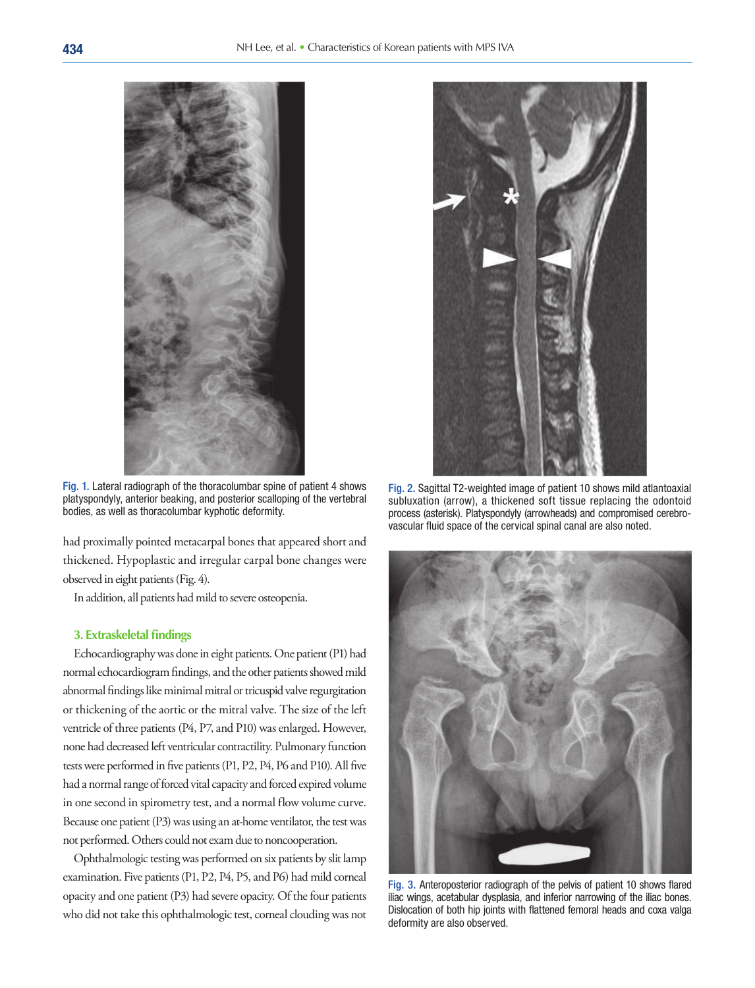

Fig. 1. Lateral radiograph of the thoracolumbar spine of patient 4 shows platyspondyly, anterior beaking, and posterior scalloping of the vertebral bodies, as well as thoracolumbar kyphotic deformity.

had proximally pointed metacarpal bones that appeared short and thickened. Hypoplastic and irregular carpal bone changes were observed in eight patients (Fig. 4).

In addition, all patients had mild to severe osteopenia.

#### **3. Extraskeletal findings**

Echocardiography was done in eight patients. One patient (P1) had normal echocardiogram findings, and the other patients showed mild abnormal findings like minimal mitral or tricuspid valve regurgitation or thickening of the aortic or the mitral valve. The size of the left ventricle of three patients (P4, P7, and P10) was enlarged. However, none had decreased left ventricular contractility. Pulmonary function tests were performed in five patients (P1, P2, P4, P6 and P10). All five had a normal range of forced vital capacity and forced expired volume in one second in spirometry test, and a normal flow volume curve. Because one patient (P3) was using an at-home ventilator, the test was not performed. Others could not exam due to noncooperation.

Ophthalmologic testing was performed on six patients by slit lamp examination. Five patients (P1, P2, P4, P5, and P6) had mild corneal opacity and one patient (P3) had severe opacity. Of the four patients who did not take this ophthalmologic test, corneal clouding was not



Fig. 2. Sagittal T2-weighted image of patient 10 shows mild atlantoaxial subluxation (arrow), a thickened soft tissue replacing the odontoid process (asterisk). Platyspondyly (arrowheads) and compromised cerebrovascular fluid space of the cervical spinal canal are also noted.



Fig. 3. Anteroposterior radiograph of the pelvis of patient 10 shows flared iliac wings, acetabular dysplasia, and inferior narrowing of the iliac bones. Dislocation of both hip joints with flattened femoral heads and coxa valga deformity are also observed.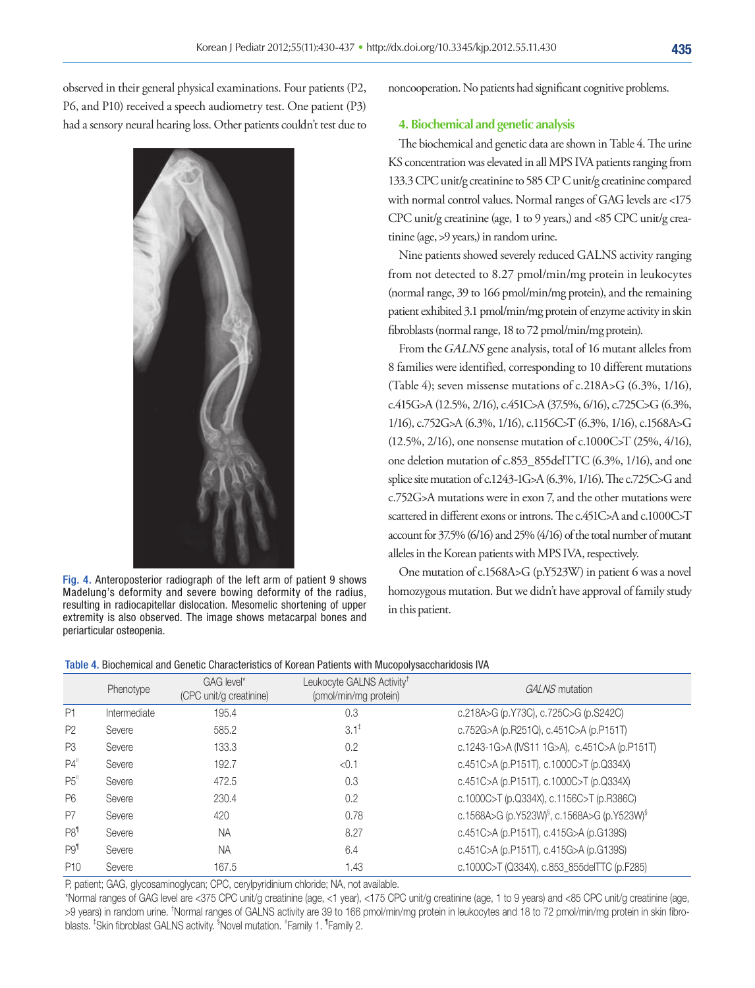observed in their general physical examinations. Four patients (P2, P6, and P10) received a speech audiometry test. One patient (P3) had a sensory neural hearing loss. Other patients couldn't test due to



Fig. 4. Anteroposterior radiograph of the left arm of patient 9 shows Madelung's deformity and severe bowing deformity of the radius, resulting in radiocapitellar dislocation. Mesomelic shortening of upper extremity is also observed. The image shows metacarpal bones and periarticular osteopenia.

noncooperation. No patients had significant cognitive problems.

#### **4. Biochemical and genetic analysis**

The biochemical and genetic data are shown in Table 4. The urine KS concentration was elevated in all MPS IVA patients ranging from 133.3 CPC unit/g creatinine to 585 CP C unit/g creatinine compared with normal control values. Normal ranges of GAG levels are <175 CPC unit/g creatinine (age, 1 to 9 years,) and <85 CPC unit/g creatinine (age, >9 years,) in random urine.

Nine patients showed severely reduced GALNS activity ranging from not detected to 8.27 pmol/min/mg protein in leukocytes (normal range, 39 to 166 pmol/min/mg protein), and the remaining patient exhibited 3.1 pmol/min/mg protein of enzyme activity in skin fibroblasts (normal range, 18 to 72 pmol/min/mg protein).

From the GALNS gene analysis, total of 16 mutant alleles from 8 families were identified, corresponding to 10 different mutations (Table 4); seven missense mutations of c.218A>G (6.3%, 1/16), c.415G>A (12.5%, 2/16), c.451C>A (37.5%, 6/16), c.725C>G (6.3%, 1/16), c.752G>A (6.3%, 1/16), c.1156C>T (6.3%, 1/16), c.1568A>G (12.5%, 2/16), one nonsense mutation of c.1000C>T (25%, 4/16), one deletion mutation of c.853\_855delTTC (6.3%, 1/16), and one splice site mutation of c.1243-1G>A (6.3%, 1/16). The c.725C>G and c.752G>A mutations were in exon 7, and the other mutations were scattered in different exons or introns. The c.451C>A and c.1000C>T account for 37.5% (6/16) and 25% (4/16) of the total number of mutant alleles in the Korean patients with MPS IVA, respectively.

One mutation of c.1568A>G (p.Y523W) in patient 6 was a novel homozygous mutation. But we didn't have approval of family study in this patient.

| Table 4. Biochemical and Genetic Characteristics of Korean Patients with Mucopolysaccharidosis IVA |
|----------------------------------------------------------------------------------------------------|
|----------------------------------------------------------------------------------------------------|

|                  | Phenotype    | GAG level*<br>(CPC unit/g creatinine) | Leukocyte GALNS Activity <sup>t</sup><br>(pmol/min/mg protein) | GALNS mutation                                                      |
|------------------|--------------|---------------------------------------|----------------------------------------------------------------|---------------------------------------------------------------------|
| P1               | Intermediate | 195.4                                 | 0.3                                                            | c.218A>G (p.Y73C), c.725C>G (p.S242C)                               |
| P <sub>2</sub>   | Severe       | 585.2                                 | $3.1^{\ddagger}$                                               | c.752G>A (p.R251Q), c.451C>A (p.P151T)                              |
| P <sub>3</sub>   | Severe       | 133.3                                 | 0.2                                                            | c.1243-1G>A (IVS11 1G>A), c.451C>A (p.P151T)                        |
| $P4^{\text{II}}$ | Severe       | 192.7                                 | < 0.1                                                          | c.451C>A (p.P151T), c.1000C>T (p.Q334X)                             |
| P5"              | Severe       | 472.5                                 | 0.3                                                            | c.451C>A (p.P151T), c.1000C>T (p.Q334X)                             |
| P <sub>6</sub>   | Severe       | 230.4                                 | 0.2                                                            | c.1000C>T (p.Q334X), c.1156C>T (p.R386C)                            |
| P7               | Severe       | 420                                   | 0.78                                                           | c.1568A>G (p.Y523W) <sup>§</sup> , c.1568A>G (p.Y523W) <sup>§</sup> |
| P8 <sup>1</sup>  | Severe       | NA                                    | 8.27                                                           | c.451C>A (p.P151T), c.415G>A (p.G139S)                              |
| P9 <sup>1</sup>  | Severe       | <b>NA</b>                             | 6.4                                                            | c.451C>A (p.P151T), c.415G>A (p.G139S)                              |
| P <sub>10</sub>  | Severe       | 167.5                                 | 1.43                                                           | c.1000C>T (Q334X), c.853 855delTTC (p.F285)                         |

P, patient; GAG, glycosaminoglycan; CPC, cerylpyridinium chloride; NA, not available.

\*Normal ranges of GAG level are <375 CPC unit/g creatinine (age, <1 year), <175 CPC unit/g creatinine (age, 1 to 9 years) and <85 CPC unit/g creatinine (age, >9 years) in random urine. † Normal ranges of GALNS activity are 39 to 166 pmol/min/mg protein in leukocytes and 18 to 72 pmol/min/mg protein in skin fibroblasts. <sup>‡</sup>Skin fibroblast GALNS activity. <sup>§</sup>Novel mutation. "Family 1. <sup>¶</sup>Family 2.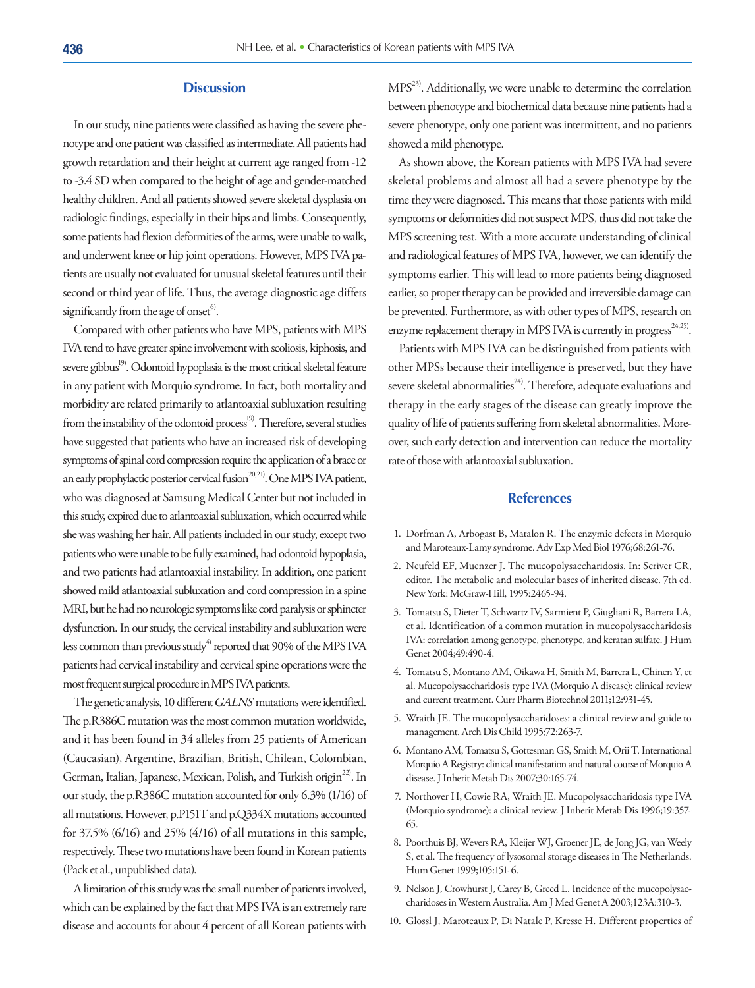# **Discussion**

In our study, nine patients were classified as having the severe phenotype and one patient was classified as intermediate. All patients had growth retardation and their height at current age ranged from -12 to -3.4 SD when compared to the height of age and gender-matched healthy children. And all patients showed severe skeletal dysplasia on radiologic findings, especially in their hips and limbs. Consequently, some patients had flexion deformities of the arms, were unable to walk, and underwent knee or hip joint operations. However, MPS IVA patients are usually not evaluated for unusual skeletal features until their second or third year of life. Thus, the average diagnostic age differs significantly from the age of onset $\degree$ .

Compared with other patients who have MPS, patients with MPS IVA tend to have greater spine involvement with scoliosis, kiphosis, and severe gibbus<sup>19)</sup>. Odontoid hypoplasia is the most critical skeletal feature in any patient with Morquio syndrome. In fact, both mortality and morbidity are related primarily to atlantoaxial subluxation resulting from the instability of the odontoid process<sup>19)</sup>. Therefore, several studies have suggested that patients who have an increased risk of developing symptoms of spinal cord compression require the application of a brace or an early prophylactic posterior cervical fusion<sup>20,21)</sup>. One MPS IVA patient, who was diagnosed at Samsung Medical Center but not included in this study, expired due to atlantoaxial subluxation, which occurred while she was washing her hair. All patients included in our study, except two patients who were unable to be fully examined, had odontoid hypoplasia, and two patients had atlantoaxial instability. In addition, one patient showed mild atlantoaxial subluxation and cord compression in a spine MRI, but he had no neurologic symptoms like cord paralysis or sphincter dysfunction. In our study, the cervical instability and subluxation were less common than previous study<sup>4)</sup> reported that  $90\%$  of the MPS IVA patients had cervical instability and cervical spine operations were the most frequent surgical procedure in MPS IVA patients.

The genetic analysis, 10 different GALNS mutations were identified. The p.R386C mutation was the most common mutation worldwide, and it has been found in 34 alleles from 25 patients of American (Caucasian), Argentine, Brazilian, British, Chilean, Colombian, German, Italian, Japanese, Mexican, Polish, and Turkish origin<sup>22)</sup>. In our study, the p.R386C mutation accounted for only 6.3% (1/16) of all mutations. However, p.P151T and p.Q334X mutations accounted for 37.5% (6/16) and 25% (4/16) of all mutations in this sample, respectively. These two mutations have been found in Korean patients (Pack et al., unpublished data).

A limitation of this study was the small number of patients involved, which can be explained by the fact that MPS IVA is an extremely rare disease and accounts for about 4 percent of all Korean patients with MPS23). Additionally, we were unable to determine the correlation between phenotype and biochemical data because nine patients had a severe phenotype, only one patient was intermittent, and no patients showed a mild phenotype.

As shown above, the Korean patients with MPS IVA had severe skeletal problems and almost all had a severe phenotype by the time they were diagnosed. This means that those patients with mild symptoms or deformities did not suspect MPS, thus did not take the MPS screening test. With a more accurate understanding of clinical and radiological features of MPS IVA, however, we can identify the symptoms earlier. This will lead to more patients being diagnosed earlier, so proper therapy can be provided and irreversible damage can be prevented. Furthermore, as with other types of MPS, research on enzyme replacement therapy in MPS IVA is currently in progress<sup>24,25)</sup>.

Patients with MPS IVA can be distinguished from patients with other MPSs because their intelligence is preserved, but they have severe skeletal abnormalities<sup>24</sup>. Therefore, adequate evaluations and therapy in the early stages of the disease can greatly improve the quality of life of patients suffering from skeletal abnormalities. Moreover, such early detection and intervention can reduce the mortality rate of those with atlantoaxial subluxation.

# **References**

- 1. Dorfman A, Arbogast B, Matalon R. The enzymic defects in Morquio and Maroteaux-Lamy syndrome. Adv Exp Med Biol 1976;68:261-76.
- 2. Neufeld EF, Muenzer J. The mucopolysaccharidosis. In: Scriver CR, editor. The metabolic and molecular bases of inherited disease. 7th ed. New York: McGraw-Hill, 1995:2465-94.
- 3. Tomatsu S, Dieter T, Schwartz IV, Sarmient P, Giugliani R, Barrera LA, et al. Identification of a common mutation in mucopolysaccharidosis IVA: correlation among genotype, phenotype, and keratan sulfate. J Hum Genet 2004;49:490-4.
- 4. Tomatsu S, Montano AM, Oikawa H, Smith M, Barrera L, Chinen Y, et al. Mucopolysaccharidosis type IVA (Morquio A disease): clinical review and current treatment. Curr Pharm Biotechnol 2011;12:931-45.
- 5. Wraith JE. The mucopolysaccharidoses: a clinical review and guide to management. Arch Dis Child 1995;72:263-7.
- 6. Montano AM, Tomatsu S, Gottesman GS, Smith M, Orii T. International Morquio A Registry: clinical manifestation and natural course of Morquio A disease. J Inherit Metab Dis 2007;30:165-74.
- 7. Northover H, Cowie RA, Wraith JE. Mucopolysaccharidosis type IVA (Morquio syndrome): a clinical review. J Inherit Metab Dis 1996;19:357- 65.
- 8. Poorthuis BJ, Wevers RA, Kleijer WJ, Groener JE, de Jong JG, van Weely S, et al. The frequency of lysosomal storage diseases in The Netherlands. Hum Genet 1999;105:151-6.
- 9. Nelson J, Crowhurst J, Carey B, Greed L. Incidence of the mucopolysaccharidoses in Western Australia. Am J Med Genet A 2003;123A:310-3.
- 10. Glossl J, Maroteaux P, Di Natale P, Kresse H. Different properties of